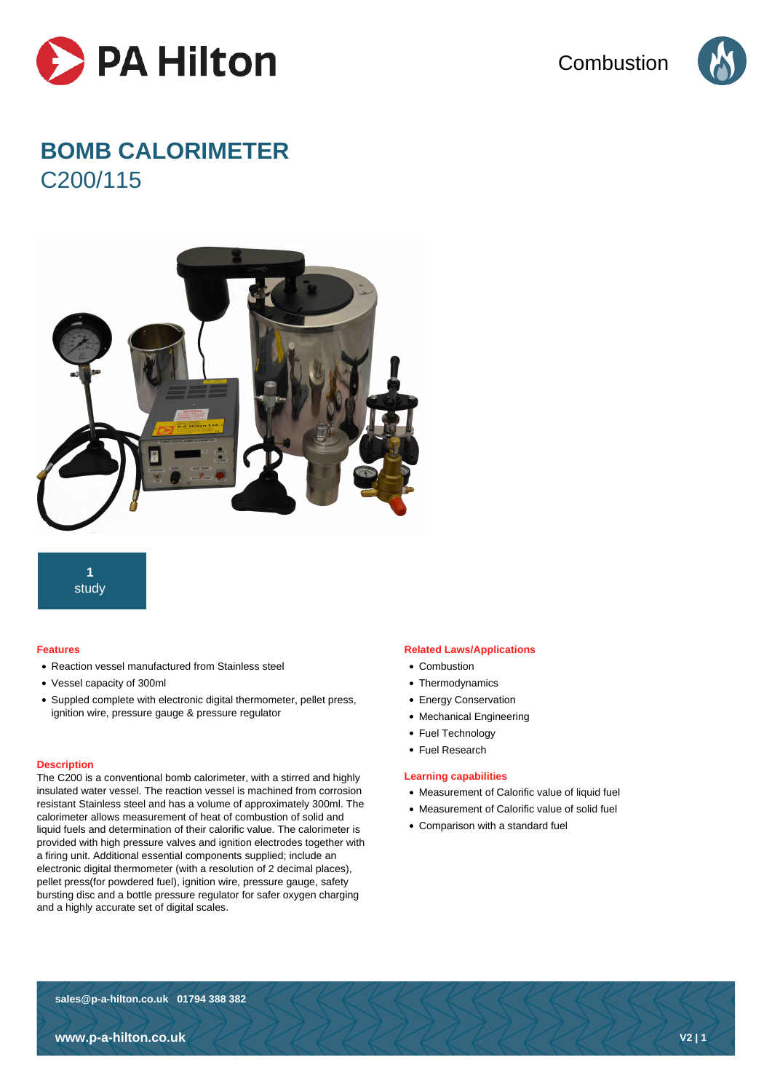

**Combustion** 



# **BOMB CALORIMETER** C200/115



**1** study

#### **Features**

- Reaction vessel manufactured from Stainless steel
- Vessel capacity of 300ml
- Suppled complete with electronic digital thermometer, pellet press, ignition wire, pressure gauge & pressure regulator

#### **Description**

The C200 is a conventional bomb calorimeter, with a stirred and highly insulated water vessel. The reaction vessel is machined from corrosion resistant Stainless steel and has a volume of approximately 300ml. The calorimeter allows measurement of heat of combustion of solid and liquid fuels and determination of their calorific value. The calorimeter is provided with high pressure valves and ignition electrodes together with a firing unit. Additional essential components supplied; include an electronic digital thermometer (with a resolution of 2 decimal places), pellet press(for powdered fuel), ignition wire, pressure gauge, safety bursting disc and a bottle pressure regulator for safer oxygen charging and a highly accurate set of digital scales.

#### **Related Laws/Applications**

- Combustion
- Thermodynamics
- Energy Conservation
- Mechanical Engineering
- Fuel Technology
- Fuel Research

#### **Learning capabilities**

- Measurement of Calorific value of liquid fuel
- Measurement of Calorific value of solid fuel
- Comparison with a standard fuel